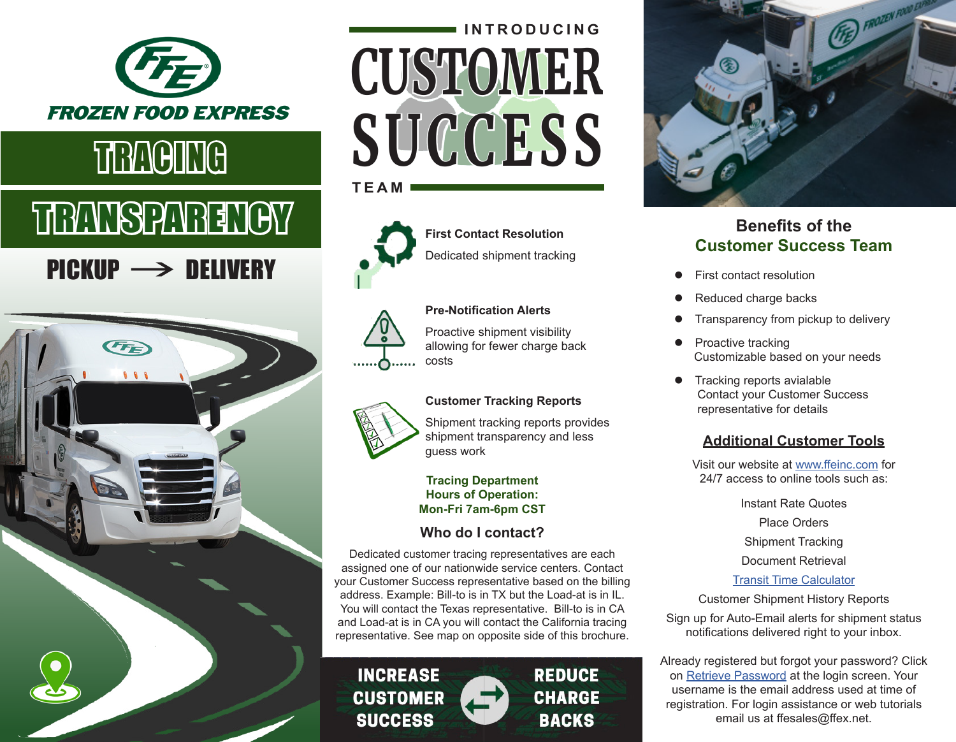

# TRANSPARENCY

# PICKUP -> DELIVERY



# **CUSTOMER** TRACING SUCCESS **INTRODUCING**





**First Contact Resolution** Dedicated shipment tracking

### **Pre-Notification Alerts**

Proactive shipment visibility allowing for fewer charge back costs

### **Customer Tracking Reports**

Shipment tracking reports provides shipment transparency and less guess work

#### **Tracing Department Hours of Operation: Mon-Fri 7am-6pm CST**

## **Who do I contact?**

Dedicated customer tracing representatives are each assigned one of our nationwide service centers. Contact your Customer Success representative based on the billing address. Example: Bill-to is in TX but the Load-at is in IL. You will contact the Texas representative. Bill-to is in CA and Load-at is in CA you will contact the California tracing representative. See map on opposite side of this brochure.



**REDUCE CHARGE BACKS** 



## **Benefits of the Customer Success Team**

- First contact resolution
- Reduced charge backs
- Transparency from pickup to delivery
- Proactive tracking Customizable based on your needs
- **Tracking reports avialable**  Contact your Customer Success representative for details

### **Additional Customer Tools**

Visit our website at [www.ffeinc.com](http://www.ffeinc.com) for 24/7 access to online tools such as:

> Instant Rate Quotes Place Orders Shipment Tracking Document Retrieval [Transit Time Calculator](https://www.ffeinc.com/Customer/TransitTimeCalculator)

Customer Shipment History Reports

Sign up for Auto-Email alerts for shipment status notifications delivered right to your inbox.

Already registered but forgot your password? Click on [Retrieve Password](https://www.ffeinc.com/Account/Login) at the login screen. Your username is the email address used at time of registration. For login assistance or web tutorials email us at ffesales@ffex.net.